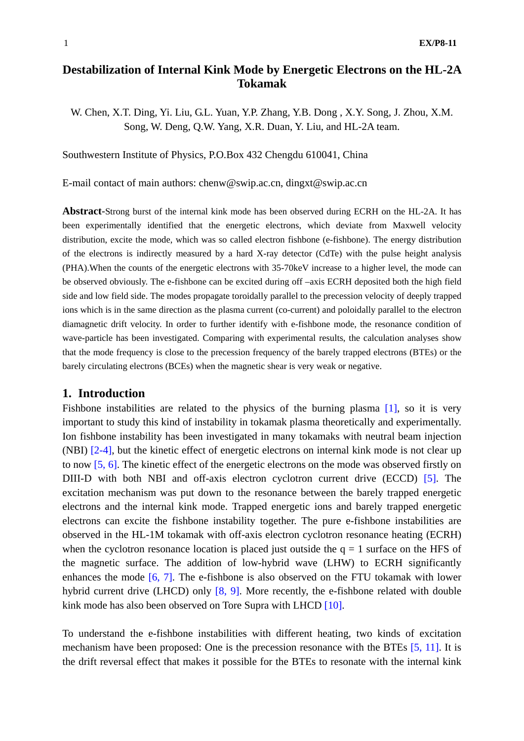# **Destabilization of Internal Kink Mode by Energetic Electrons on the HL-2A Tokamak**

W. Chen, X.T. Ding, Yi. Liu, G.L. Yuan, Y.P. Zhang, Y.B. Dong, X.Y. Song, J. Zhou, X.M. Song, W. Deng, Q.W. Yang, X.R. Duan, Y. Liu, and HL-2A team.

Southwestern Institute of Physics, P.O.Box 432 Chengdu 610041, China

E-mail contact of main authors: chenw@swip.ac.cn, dingxt@swip.ac.cn

**Abstract**-Strong burst of the internal kink mode has been observed during ECRH on the HL-2A. It has been experimentally identified that the energetic electrons, which deviate from Maxwell velocity distribution, excite the mode, which was so called electron fishbone (e-fishbone). The energy distribution of the electrons is indirectly measured by a hard X-ray detector (CdTe) with the pulse height analysis (PHA).When the counts of the energetic electrons with 35-70keV increase to a higher level, the mode can be observed obviously. The e-fishbone can be excited during off –axis ECRH deposited both the high field side and low field side. The modes propagate toroidally parallel to the precession velocity of deeply trapped ions which is in the same direction as the plasma current (co-current) and poloidally parallel to the electron diamagnetic drift velocity. In order to further identify with e-fishbone mode, the resonance condition of wave-particle has been investigated. Comparing with experimental results, the calculation analyses show that the mode frequency is close to the precession frequency of the barely trapped electrons (BTEs) or the barely circulating electrons (BCEs) when the magnetic shear is very weak or negative.

### **1. Introduction**

Fishbone instabilities are related to the physics of the burning plasma [1], so it is very important to study this kind of instability in tokamak plasma theoretically and experimentally. Ion fishbone instability has been investigated in many tokamaks with neutral beam injection (NBI) [2-4], but the kinetic effect of energetic electrons on internal kink mode is not clear up to now [5, 6]. The kinetic effect of the energetic electrons on the mode was observed firstly on DIII-D with both NBI and off-axis electron cyclotron current drive (ECCD) [5]. The excitation mechanism was put down to the resonance between the barely trapped energetic electrons and the internal kink mode. Trapped energetic ions and barely trapped energetic electrons can excite the fishbone instability together. The pure e-fishbone instabilities are observed in the HL-1M tokamak with off-axis electron cyclotron resonance heating (ECRH) when the cyclotron resonance location is placed just outside the  $q = 1$  surface on the HFS of the magnetic surface. The addition of low-hybrid wave (LHW) to ECRH significantly enhances the mode [6, 7]. The e-fishbone is also observed on the FTU tokamak with lower hybrid current drive (LHCD) only [8, 9]. More recently, the e-fishbone related with double kink mode has also been observed on Tore Supra with LHCD [10].

To understand the e-fishbone instabilities with different heating, two kinds of excitation mechanism have been proposed: One is the precession resonance with the BTEs [5, 11]. It is the drift reversal effect that makes it possible for the BTEs to resonate with the internal kink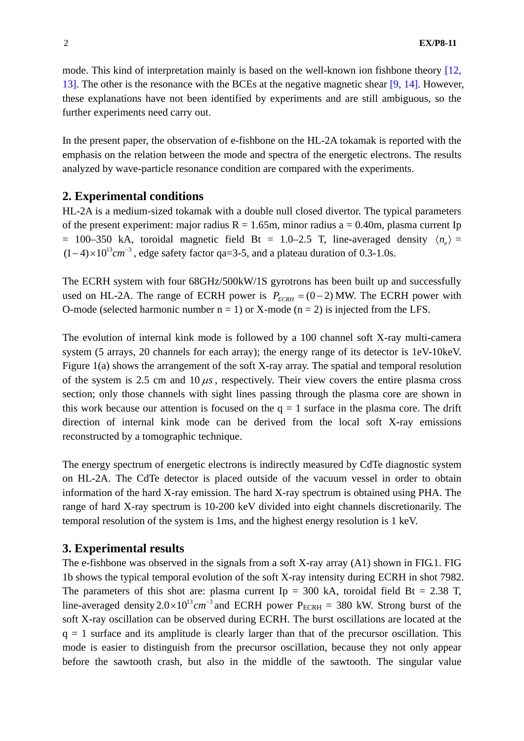mode. This kind of interpretation mainly is based on the well-known ion fishbone theory [12, 13]. The other is the resonance with the BCEs at the negative magnetic shear [9, 14]. However, these explanations have not been identified by experiments and are still ambiguous, so the further experiments need carry out.

In the present paper, the observation of e-fishbone on the HL-2A tokamak is reported with the emphasis on the relation between the mode and spectra of the energetic electrons. The results analyzed by wave-particle resonance condition are compared with the experiments.

### **2. Experimental conditions**

HL-2A is a medium-sized tokamak with a double null closed divertor. The typical parameters of the present experiment: major radius  $R = 1.65$ m, minor radius a = 0.40m, plasma current Ip = 100–350 kA, toroidal magnetic field Bt = 1.0–2.5 T, line-averaged density  $\langle n_e \rangle$  =  $(1-4) \times 10^{13}$  cm<sup>-3</sup>, edge safety factor qa=3-5, and a plateau duration of 0.3-1.0s.

The ECRH system with four 68GHz/500kW/1S gyrotrons has been built up and successfully used on HL-2A. The range of ECRH power is  $P_{ECRH} = (0 - 2)$  MW. The ECRH power with O-mode (selected harmonic number  $n = 1$ ) or X-mode ( $n = 2$ ) is injected from the LFS.

The evolution of internal kink mode is followed by a 100 channel soft X-ray multi-camera system (5 arrays, 20 channels for each array); the energy range of its detector is 1eV-10keV. Figure 1(a) shows the arrangement of the soft X-ray array. The spatial and temporal resolution of the system is 2.5 cm and  $10 \mu s$ , respectively. Their view covers the entire plasma cross section; only those channels with sight lines passing through the plasma core are shown in this work because our attention is focused on the  $q = 1$  surface in the plasma core. The drift direction of internal kink mode can be derived from the local soft X-ray emissions reconstructed by a tomographic technique.

The energy spectrum of energetic electrons is indirectly measured by CdTe diagnostic system on HL-2A. The CdTe detector is placed outside of the vacuum vessel in order to obtain information of the hard X-ray emission. The hard X-ray spectrum is obtained using PHA. The range of hard X-ray spectrum is 10-200 keV divided into eight channels discretionarily. The temporal resolution of the system is 1ms, and the highest energy resolution is 1 keV.

### **3. Experimental results**

The e-fishbone was observed in the signals from a soft X-ray array (A1) shown in FIG.1. FIG 1b shows the typical temporal evolution of the soft X-ray intensity during ECRH in shot 7982. The parameters of this shot are: plasma current Ip = 300 kA, toroidal field Bt = 2.38 T, line-averaged density  $2.0 \times 10^{13}$  cm<sup>-3</sup> and ECRH power P<sub>ECRH</sub> = 380 kW. Strong burst of the soft X-ray oscillation can be observed during ECRH. The burst oscillations are located at the  $q = 1$  surface and its amplitude is clearly larger than that of the precursor oscillation. This mode is easier to distinguish from the precursor oscillation, because they not only appear before the sawtooth crash, but also in the middle of the sawtooth. The singular value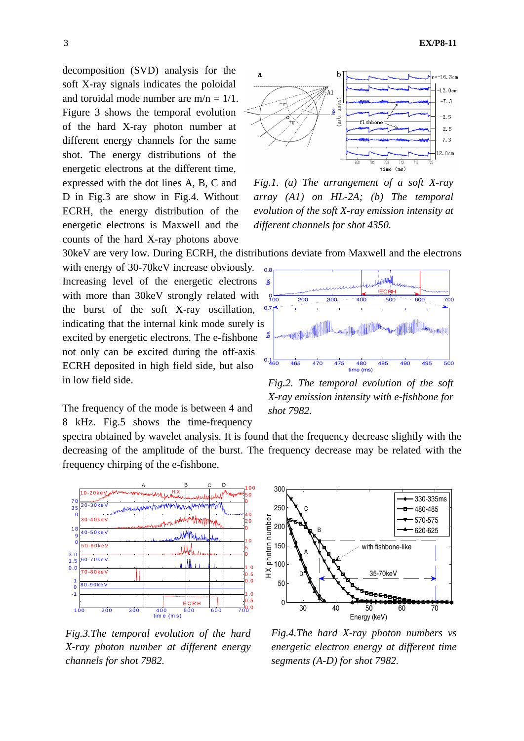decomposition (SVD) analysis for the soft X-ray signals indicates the poloidal and toroidal mode number are  $m/n = 1/1$ . Figure 3 shows the temporal evolution of the hard X-ray photon number at different energy channels for the same shot. The energy distributions of the energetic electrons at the different time, expressed with the dot lines A, B, C and D in Fig.3 are show in Fig.4. Without ECRH, the energy distribution of the energetic electrons is Maxwell and the counts of the hard X-ray photons above



*Fig.1. (a) The arrangement of a soft X-ray array (A1) on HL-2A; (b) The temporal evolution of the soft X-ray emission intensity at different channels for shot 4350.* 

30keV are very low. During ECRH, the distributions deviate from Maxwell and the electrons

excited by energetic electrons. The e-fishbone with energy of 30-70keV increase obviously. Increasing level of the energetic electrons with more than 30keV strongly related with the burst of the soft X-ray oscillation, indicating that the internal kink mode surely is not only can be excited during the off-axis ECRH deposited in high field side, but also in low field side.



frequency chirping of the e-fishbone.

spectra obtained by wavelet analysis. It is found that the frequency decrease slightly with the decreasing of the amplitude of the burst. The frequency decrease may be related with the



*Fig.3.The temporal evolution of the hard X-ray photon number at different energy channels for shot 7982.*



*Fig.2. The temporal evolution of the soft X-ray emission intensity with e-fishbone for shot 7982.* 



*Fig.4.The hard X-ray photon numbers vs energetic electron energy at different time segments (A-D) for shot 7982.*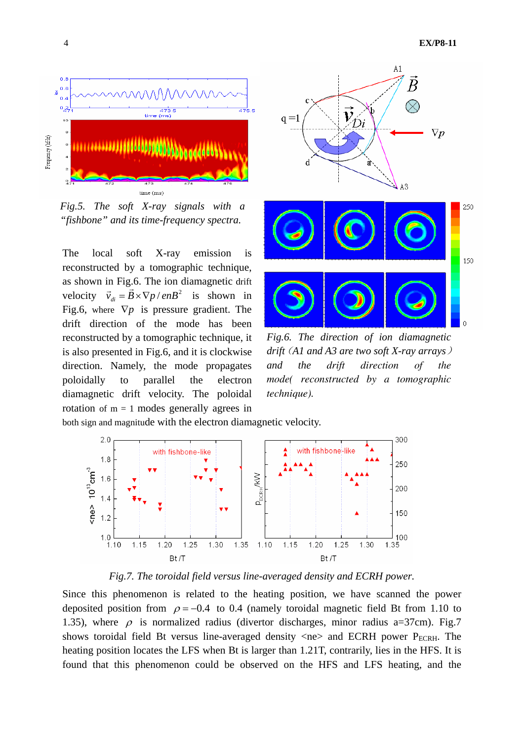

*Fig.5. The soft X-ray signals with a "fishbone" and its time-frequency spectra.* 

The local soft X-ray emission is reconstructed by a tomographic technique, as shown in Fig.6. The ion diamagnetic drift velocity  $\vec{v}_{di} = \vec{B} \times \nabla p / enB^2$  is shown in Fig.6, where ∇*p* is pressure gradient. The drift direction of the mode has been reconstructed by a tomographic technique, it is also presented in Fig.6, and it is clockwise direction. Namely, the mode propagates poloidally to parallel the electron diamagnetic drift velocity. The poloidal rotation of  $m = 1$  modes generally agrees in



*Fig.6. The direction of ion diamagnetic drift*(*A1 and A3 are two soft X-ray arrays*) *and the drift direction of the mode( reconstructed by a tomographic technique).*

both sign and magnitude with the electron diamagnetic velocity.



*Fig.7. The toroidal field versus line-averaged density and ECRH power.* 

Since this phenomenon is related to the heating position, we have scanned the power deposited position from  $\rho = -0.4$  to 0.4 (namely toroidal magnetic field Bt from 1.10 to 1.35), where  $\rho$  is normalized radius (divertor discharges, minor radius a=37cm). Fig.7 shows toroidal field Bt versus line-averaged density  $\langle$ ne $\rangle$  and ECRH power P<sub>ECRH</sub>. The heating position locates the LFS when Bt is larger than 1.21T, contrarily, lies in the HFS. It is found that this phenomenon could be observed on the HFS and LFS heating, and the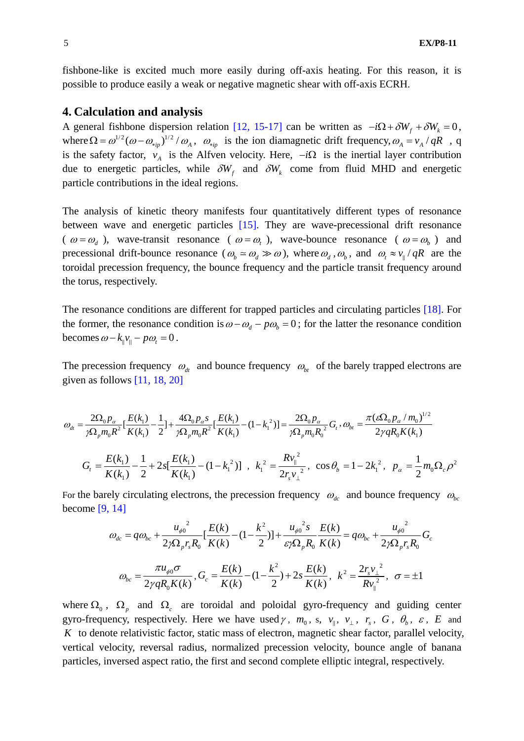fishbone-like is excited much more easily during off-axis heating. For this reason, it is possible to produce easily a weak or negative magnetic shear with off-axis ECRH.

#### **4. Calculation and analysis**

A general fishbone dispersion relation [12, 15-17] can be written as  $-i\Omega + \delta W_f + \delta W_k = 0$ , where  $\Omega = \omega^{1/2} (\omega - \omega_{\min})^{1/2} / \omega_A$ ,  $\omega_{\min}$  is the ion diamagnetic drift frequency,  $\omega_A = v_A / qR$ , q is the safety factor,  $v_A$  is the Alfven velocity. Here,  $-i\Omega$  is the inertial layer contribution due to energetic particles, while  $\delta W_t$  and  $\delta W_t$  come from fluid MHD and energetic particle contributions in the ideal regions.

The analysis of kinetic theory manifests four quantitatively different types of resonance between wave and energetic particles [15]. They are wave-precessional drift resonance (  $\omega = \omega_d$ ), wave-transit resonance (  $\omega = \omega_t$ ), wave-bounce resonance (  $\omega = \omega_b$ ) and precessional drift-bounce resonance ( $\omega_b \approx \omega_d \gg \omega$ ), where  $\omega_d$ ,  $\omega_b$ , and  $\omega_t \approx v_\parallel / qR$  are the toroidal precession frequency, the bounce frequency and the particle transit frequency around the torus, respectively.

The resonance conditions are different for trapped particles and circulating particles [18]. For the former, the resonance condition is  $\omega - \omega_d - p\omega_b = 0$ ; for the latter the resonance condition becomes  $\omega - k_{\parallel} v_{\parallel} - p \omega_{t} = 0$ .

The precession frequency  $\omega_{dt}$  and bounce frequency  $\omega_{bt}$  of the barely trapped electrons are given as follows  $[11, 18, 20]$ 

$$
\omega_{dt} = \frac{2\Omega_0 p_\alpha}{\gamma \Omega_p m_0 R^2} \left[ \frac{E(k_1)}{K(k_1)} - \frac{1}{2} \right] + \frac{4\Omega_0 p_\alpha s}{\gamma \Omega_p m_0 R^2} \left[ \frac{E(k_1)}{K(k_1)} - (1 - k_1^2) \right] = \frac{2\Omega_0 p_\alpha}{\gamma \Omega_p m_0 R_0^2} G_t, \omega_{bt} = \frac{\pi (\varepsilon \Omega_0 p_\alpha / m_0)^{1/2}}{2 \gamma q R_0 K(k_1)}
$$
  

$$
G_t = \frac{E(k_1)}{K(k_1)} - \frac{1}{2} + 2s \left[ \frac{E(k_1)}{K(k_1)} - (1 - k_1^2) \right], \quad k_1^2 = \frac{R v_{\parallel}^2}{2 r_s v_{\perp}^2}, \quad \cos \theta_b = 1 - 2k_1^2, \quad p_\alpha = \frac{1}{2} m_0 \Omega_c \rho^2
$$

For the barely circulating electrons, the precession frequency  $\omega_{dc}$  and bounce frequency  $\omega_{bc}$ become [9, 14]

$$
\omega_{dc} = q\omega_{bc} + \frac{u_{\phi0}^2}{2\gamma\Omega_p r_s R_0} \left[ \frac{E(k)}{K(k)} - (1 - \frac{k^2}{2}) \right] + \frac{u_{\phi0}^2 s}{\varepsilon \gamma \Omega_p R_0} \frac{E(k)}{K(k)} = q\omega_{bc} + \frac{u_{\phi0}^2}{2\gamma \Omega_p r_s R_0} G_c
$$

$$
\omega_{bc} = \frac{\pi u_{\phi0} \sigma}{2\gamma q R_0 K(k)}, G_c = \frac{E(k)}{K(k)} - (1 - \frac{k^2}{2}) + 2s \frac{E(k)}{K(k)}, k^2 = \frac{2r_s v_\perp^2}{R v_\parallel^2}, \quad \sigma = \pm 1
$$

where  $\Omega_0$ ,  $\Omega_p$  and  $\Omega_c$  are toroidal and poloidal gyro-frequency and guiding center gyro-frequency, respectively. Here we have used  $\gamma$ ,  $m_0$ , s,  $v_{\parallel}$ ,  $v_{\perp}$ ,  $r_s$ ,  $G$ ,  $\theta_b$ ,  $\varepsilon$ ,  $E$  and *K* to denote relativistic factor, static mass of electron, magnetic shear factor, parallel velocity, vertical velocity, reversal radius, normalized precession velocity, bounce angle of banana particles, inversed aspect ratio, the first and second complete elliptic integral, respectively.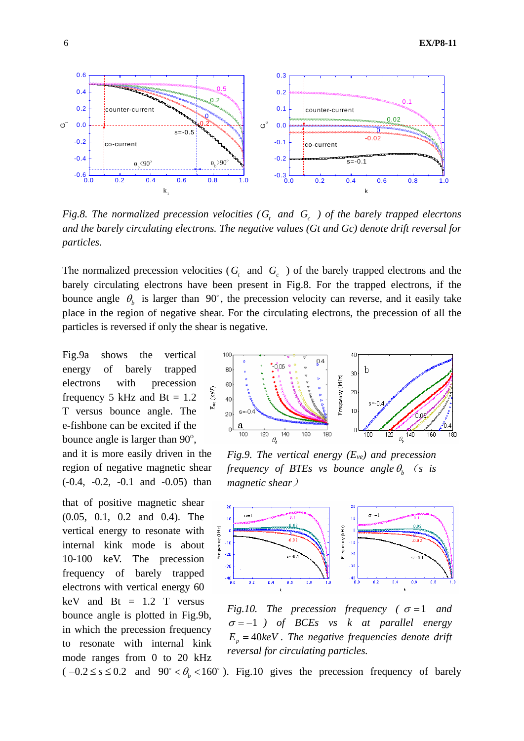

*Fig.8. The normalized precession velocities (G<sub>t</sub> and G<sub>c</sub>) of the barely trapped elecrtons and the barely circulating electrons. The negative values (Gt and Gc) denote drift reversal for particles.*

The normalized precession velocities  $(G_t \text{ and } G_c)$  of the barely trapped electrons and the barely circulating electrons have been present in Fig.8. For the trapped electrons, if the bounce angle  $\theta_b$  is larger than 90°, the precession velocity can reverse, and it easily take place in the region of negative shear. For the circulating electrons, the precession of all the particles is reversed if only the shear is negative.

Fig.9a shows the vertical energy of barely trapped electrons with precession frequency 5 kHz and Bt =  $1.2$ T versus bounce angle. The e-fishbone can be excited if the bounce angle is larger than  $90^\circ$ ,

and it is more easily driven in the region of negative magnetic shear (-0.4, -0.2, -0.1 and -0.05) than

that of positive magnetic shear (0.05, 0.1, 0.2 and 0.4). The vertical energy to resonate with internal kink mode is about 10-100 keV. The precession frequency of barely trapped electrons with vertical energy 60  $keV$  and  $Bt = 1.2$  T versus bounce angle is plotted in Fig.9b, in which the precession frequency to resonate with internal kink mode ranges from 0 to 20 kHz



*Fig.9. The vertical energy (Eve) and precession frequency of BTEs vs bounce angle*  $\theta_b$  (*s is magnetic shear*)



*Fig.10. The precession frequency (* $\sigma$ =1 *and* <sup>σ</sup> = −1 *) of BCEs vs k at parallel energy*   $E_p = 40 \text{keV}$ . The negative frequencies denote drift *reversal for circulating particles.*

 $(-0.2 \le s \le 0.2$  and  $90^\circ < \theta_b < 160^\circ$ ). Fig.10 gives the precession frequency of barely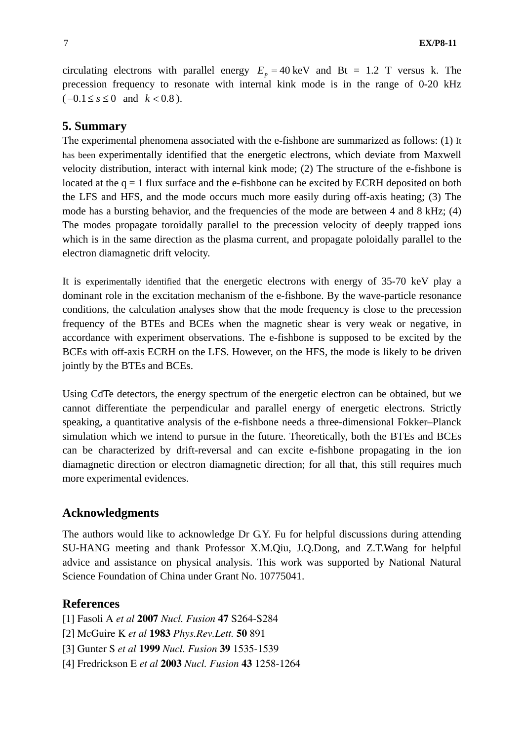circulating electrons with parallel energy  $E_p = 40 \text{ keV}$  and Bt = 1.2 T versus k. The precession frequency to resonate with internal kink mode is in the range of 0-20 kHz  $(-0.1 \le s \le 0$  and  $k < 0.8$ ).

## **5. Summary**

The experimental phenomena associated with the e-fishbone are summarized as follows: (1) It has been experimentally identified that the energetic electrons, which deviate from Maxwell velocity distribution, interact with internal kink mode; (2) The structure of the e-fishbone is located at the  $q = 1$  flux surface and the e-fishbone can be excited by ECRH deposited on both the LFS and HFS, and the mode occurs much more easily during off-axis heating; (3) The mode has a bursting behavior, and the frequencies of the mode are between 4 and 8 kHz; (4) The modes propagate toroidally parallel to the precession velocity of deeply trapped ions which is in the same direction as the plasma current, and propagate poloidally parallel to the electron diamagnetic drift velocity.

It is experimentally identified that the energetic electrons with energy of 35-70 keV play a dominant role in the excitation mechanism of the e-fishbone. By the wave-particle resonance conditions, the calculation analyses show that the mode frequency is close to the precession frequency of the BTEs and BCEs when the magnetic shear is very weak or negative, in accordance with experiment observations. The e-fishbone is supposed to be excited by the BCEs with off-axis ECRH on the LFS. However, on the HFS, the mode is likely to be driven jointly by the BTEs and BCEs.

Using CdTe detectors, the energy spectrum of the energetic electron can be obtained, but we cannot differentiate the perpendicular and parallel energy of energetic electrons. Strictly speaking, a quantitative analysis of the e-fishbone needs a three-dimensional Fokker–Planck simulation which we intend to pursue in the future. Theoretically, both the BTEs and BCEs can be characterized by drift-reversal and can excite e-fishbone propagating in the ion diamagnetic direction or electron diamagnetic direction; for all that, this still requires much more experimental evidences.

### **Acknowledgments**

The authors would like to acknowledge Dr G.Y. Fu for helpful discussions during attending SU-HANG meeting and thank Professor X.M.Qiu, J.Q.Dong, and Z.T.Wang for helpful advice and assistance on physical analysis. This work was supported by National Natural Science Foundation of China under Grant No. 10775041.

### **References**

[1] Fasoli A *et al* **2007** *Nucl. Fusion* **47** S264-S284

- [2] McGuire K *et al* **1983** *Phys.Rev.Lett.* **50** 891
- [3] Gunter S *et al* **1999** *Nucl. Fusion* **39** 1535-1539
- [4] Fredrickson E *et al* **2003** *Nucl. Fusion* **43** 1258-1264